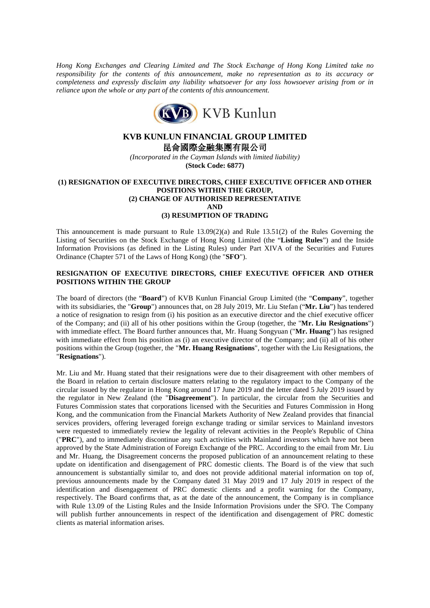*Hong Kong Exchanges and Clearing Limited and The Stock Exchange of Hong Kong Limited take no responsibility for the contents of this announcement, make no representation as to its accuracy or completeness and expressly disclaim any liability whatsoever for any loss howsoever arising from or in reliance upon the whole or any part of the contents of this announcement.*



# **KVB KUNLUN FINANCIAL GROUP LIMITED**

昆侖國際金融集團有限公司

*(Incorporated in the Cayman Islands with limited liability)* **(Stock Code: 6877)**

## **(1) RESIGNATION OF EXECUTIVE DIRECTORS, CHIEF EXECUTIVE OFFICER AND OTHER POSITIONS WITHIN THE GROUP, (2) CHANGE OF AUTHORISED REPRESENTATIVE AND**

#### **(3) RESUMPTION OF TRADING**

This announcement is made pursuant to Rule  $13.09(2)(a)$  and Rule  $13.51(2)$  of the Rules Governing the Listing of Securities on the Stock Exchange of Hong Kong Limited (the "**Listing Rules**") and the Inside Information Provisions (as defined in the Listing Rules) under Part XIVA of the Securities and Futures Ordinance (Chapter 571 of the Laws of Hong Kong) (the "**SFO**").

## **RESIGNATION OF EXECUTIVE DIRECTORS, CHIEF EXECUTIVE OFFICER AND OTHER POSITIONS WITHIN THE GROUP**

The board of directors (the "**Board**") of KVB Kunlun Financial Group Limited (the "**Company**", together with its subsidiaries, the "**Group**") announces that, on 28 July 2019, Mr. Liu Stefan ("Mr. Liu") has tendered a notice of resignation to resign from (i) his position as an executive director and the chief executive officer of the Company; and (ii) all of his other positions within the Group (together, the "**Mr. Liu Resignations**") with immediate effect. The Board further announces that, Mr. Huang Songyuan ("**Mr. Huang**") has resigned with immediate effect from his position as (i) an executive director of the Company; and (ii) all of his other positions within the Group (together, the "**Mr. Huang Resignations**", together with the Liu Resignations, the "**Resignations**").

Mr. Liu and Mr. Huang stated that their resignations were due to their disagreement with other members of the Board in relation to certain disclosure matters relating to the regulatory impact to the Company of the circular issued by the regulator in Hong Kong around 17 June 2019 and the letter dated 5 July 2019 issued by the regulator in New Zealand (the "**Disagreement**"). In particular, the circular from the Securities and Futures Commission states that corporations licensed with the Securities and Futures Commission in Hong Kong, and the communication from the Financial Markets Authority of New Zealand provides that financial services providers, offering leveraged foreign exchange trading or similar services to Mainland investors were requested to immediately review the legality of relevant activities in the People's Republic of China ("**PRC**"), and to immediately discontinue any such activities with Mainland investors which have not been approved by the State Administration of Foreign Exchange of the PRC. According to the email from Mr. Liu and Mr. Huang, the Disagreement concerns the proposed publication of an announcement relating to these update on identification and disengagement of PRC domestic clients. The Board is of the view that such announcement is substantially similar to, and does not provide additional material information on top of, previous announcements made by the Company dated 31 May 2019 and 17 July 2019 in respect of the identification and disengagement of PRC domestic clients and a profit warning for the Company, respectively. The Board confirms that, as at the date of the announcement, the Company is in compliance with Rule 13.09 of the Listing Rules and the Inside Information Provisions under the SFO. The Company will publish further announcements in respect of the identification and disengagement of PRC domestic clients as material information arises.